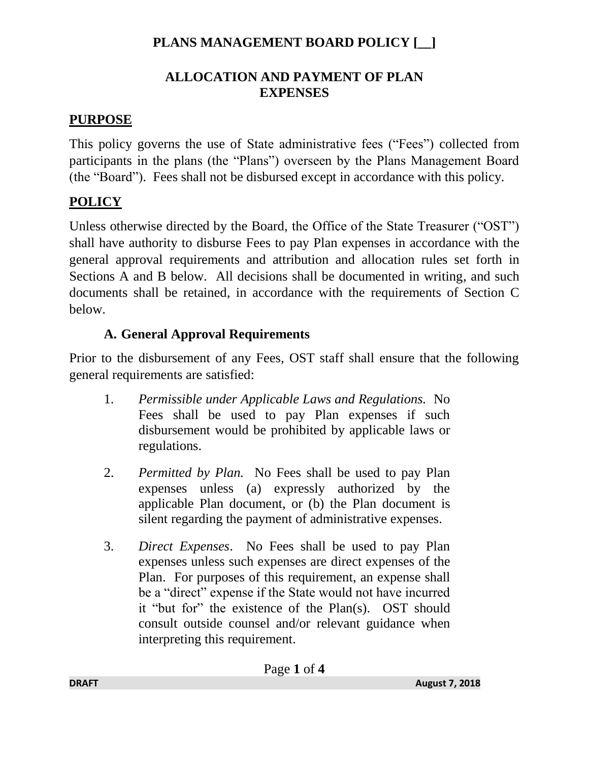### **ALLOCATION AND PAYMENT OF PLAN EXPENSES**

#### **PURPOSE**

This policy governs the use of State administrative fees ("Fees") collected from participants in the plans (the "Plans") overseen by the Plans Management Board (the "Board"). Fees shall not be disbursed except in accordance with this policy.

# **POLICY**

Unless otherwise directed by the Board, the Office of the State Treasurer ("OST") shall have authority to disburse Fees to pay Plan expenses in accordance with the general approval requirements and attribution and allocation rules set forth in Sections A and B below. All decisions shall be documented in writing, and such documents shall be retained, in accordance with the requirements of Section C below.

## **A. General Approval Requirements**

Prior to the disbursement of any Fees, OST staff shall ensure that the following general requirements are satisfied:

- 1. *Permissible under Applicable Laws and Regulations.* No Fees shall be used to pay Plan expenses if such disbursement would be prohibited by applicable laws or regulations.
- 2. *Permitted by Plan.* No Fees shall be used to pay Plan expenses unless (a) expressly authorized by the applicable Plan document, or (b) the Plan document is silent regarding the payment of administrative expenses.
- 3. *Direct Expenses*. No Fees shall be used to pay Plan expenses unless such expenses are direct expenses of the Plan. For purposes of this requirement, an expense shall be a "direct" expense if the State would not have incurred it "but for" the existence of the Plan(s). OST should consult outside counsel and/or relevant guidance when interpreting this requirement.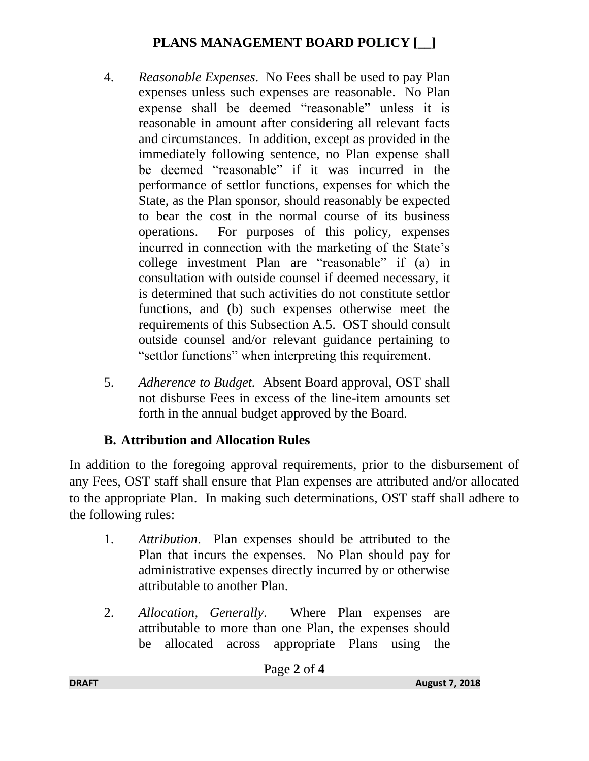- 4. *Reasonable Expenses*. No Fees shall be used to pay Plan expenses unless such expenses are reasonable. No Plan expense shall be deemed "reasonable" unless it is reasonable in amount after considering all relevant facts and circumstances. In addition, except as provided in the immediately following sentence, no Plan expense shall be deemed "reasonable" if it was incurred in the performance of settlor functions, expenses for which the State, as the Plan sponsor, should reasonably be expected to bear the cost in the normal course of its business operations. For purposes of this policy, expenses incurred in connection with the marketing of the State's college investment Plan are "reasonable" if (a) in consultation with outside counsel if deemed necessary, it is determined that such activities do not constitute settlor functions, and (b) such expenses otherwise meet the requirements of this Subsection A.5. OST should consult outside counsel and/or relevant guidance pertaining to "settlor functions" when interpreting this requirement.
- 5. *Adherence to Budget.* Absent Board approval, OST shall not disburse Fees in excess of the line-item amounts set forth in the annual budget approved by the Board.

## **B. Attribution and Allocation Rules**

In addition to the foregoing approval requirements, prior to the disbursement of any Fees, OST staff shall ensure that Plan expenses are attributed and/or allocated to the appropriate Plan. In making such determinations, OST staff shall adhere to the following rules:

- 1. *Attribution*. Plan expenses should be attributed to the Plan that incurs the expenses. No Plan should pay for administrative expenses directly incurred by or otherwise attributable to another Plan.
- 2. *Allocation, Generally*. Where Plan expenses are attributable to more than one Plan, the expenses should be allocated across appropriate Plans using the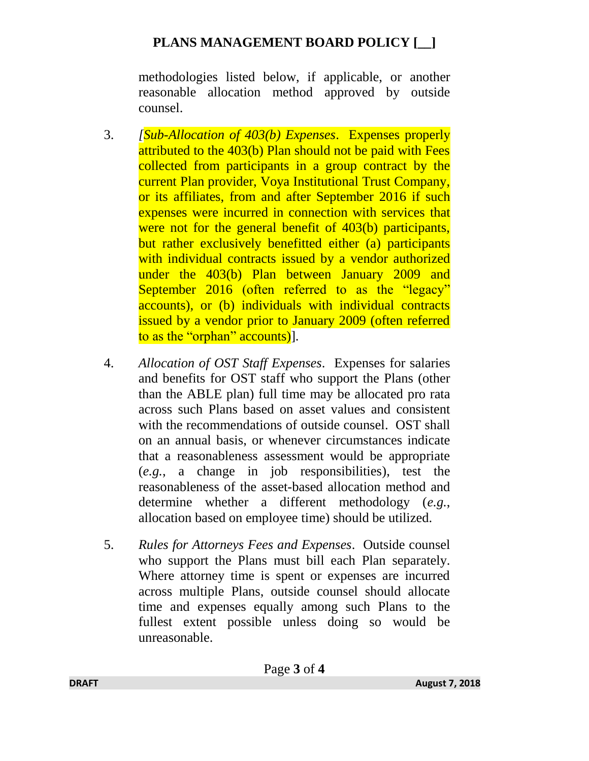methodologies listed below, if applicable, or another reasonable allocation method approved by outside counsel.

- 3. *[Sub-Allocation of 403(b) Expenses*. Expenses properly attributed to the 403(b) Plan should not be paid with Fees collected from participants in a group contract by the current Plan provider, Voya Institutional Trust Company, or its affiliates, from and after September 2016 if such expenses were incurred in connection with services that were not for the general benefit of 403(b) participants, but rather exclusively benefitted either (a) participants with individual contracts issued by a vendor authorized under the 403(b) Plan between January 2009 and September 2016 (often referred to as the "legacy" accounts), or (b) individuals with individual contracts issued by a vendor prior to January 2009 (often referred to as the "orphan" accounts)].
- 4. *Allocation of OST Staff Expenses*. Expenses for salaries and benefits for OST staff who support the Plans (other than the ABLE plan) full time may be allocated pro rata across such Plans based on asset values and consistent with the recommendations of outside counsel. OST shall on an annual basis, or whenever circumstances indicate that a reasonableness assessment would be appropriate (*e.g.*, a change in job responsibilities), test the reasonableness of the asset-based allocation method and determine whether a different methodology (*e.g.*, allocation based on employee time) should be utilized.
- 5. *Rules for Attorneys Fees and Expenses*. Outside counsel who support the Plans must bill each Plan separately. Where attorney time is spent or expenses are incurred across multiple Plans, outside counsel should allocate time and expenses equally among such Plans to the fullest extent possible unless doing so would be unreasonable.